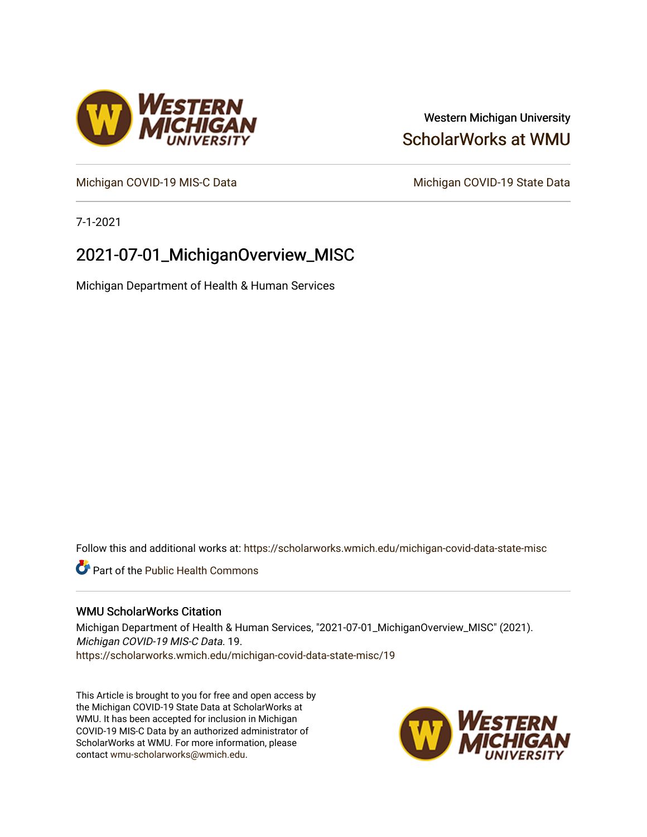# Western Michigan University [ScholarWorks at WMU](https://scholarworks.wmich.edu/)

[Michigan COVID-19 MIS-C Data](https://scholarworks.wmich.edu/michigan-covid-data-state-misc) Michigan COVID-19 State Data

7-1-2021

# 2021-07-01\_MichiganOverview\_MISC

Michigan Department of Health & Human Services

Follow this and additional works at: [https://scholarworks.wmich.edu/michigan-covid-data-state-misc](https://scholarworks.wmich.edu/michigan-covid-data-state-misc?utm_source=scholarworks.wmich.edu%2Fmichigan-covid-data-state-misc%2F19&utm_medium=PDF&utm_campaign=PDFCoverPages) 

**Part of the Public Health Commons** 

## WMU ScholarWorks Citation

Michigan Department of Health & Human Services, "2021-07-01\_MichiganOverview\_MISC" (2021). Michigan COVID-19 MIS-C Data. 19. [https://scholarworks.wmich.edu/michigan-covid-data-state-misc/19](https://scholarworks.wmich.edu/michigan-covid-data-state-misc/19?utm_source=scholarworks.wmich.edu%2Fmichigan-covid-data-state-misc%2F19&utm_medium=PDF&utm_campaign=PDFCoverPages)

This Article is brought to you for free and open access by the Michigan COVID-19 State Data at ScholarWorks at WMU. It has been accepted for inclusion in Michigan COVID-19 MIS-C Data by an authorized administrator of ScholarWorks at WMU. For more information, please contact [wmu-scholarworks@wmich.edu](mailto:wmu-scholarworks@wmich.edu).



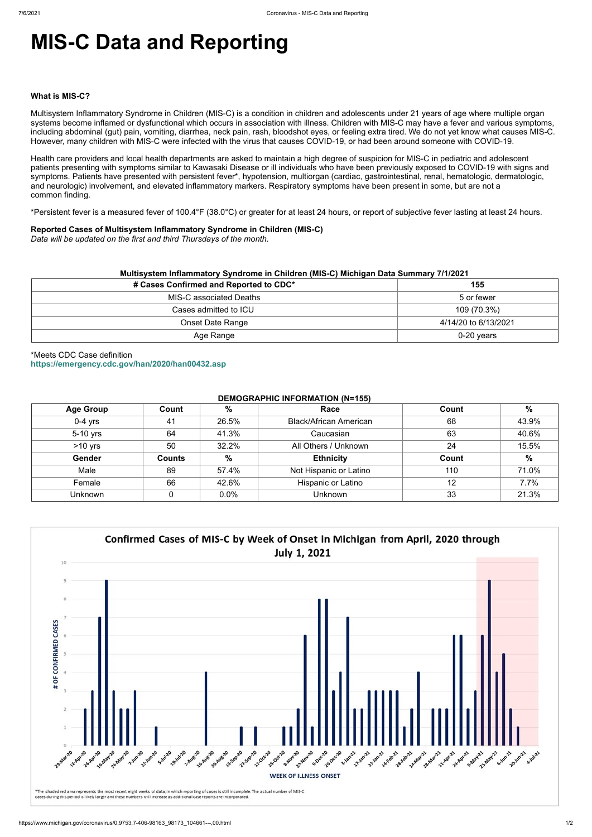# **MIS-C Data and Reporting**

#### **What is MIS-C?**

Multisystem Inflammatory Syndrome in Children (MIS-C) is a condition in children and adolescents under 21 years of age where multiple organ systems become inflamed or dysfunctional which occurs in association with illness. Children with MIS-C may have a fever and various symptoms, including abdominal (gut) pain, vomiting, diarrhea, neck pain, rash, bloodshot eyes, or feeling extra tired. We do not yet know what causes MIS-C. However, many children with MIS-C were infected with the virus that causes COVID-19, or had been around someone with COVID-19.

Health care providers and local health departments are asked to maintain a high degree of suspicion for MIS-C in pediatric and adolescent patients presenting with symptoms similar to Kawasaki Disease or ill individuals who have been previously exposed to COVID-19 with signs and symptoms. Patients have presented with persistent fever\*, hypotension, multiorgan (cardiac, gastrointestinal, renal, hematologic, dermatologic, and neurologic) involvement, and elevated inflammatory markers. Respiratory symptoms have been present in some, but are not a common finding.

\*Persistent fever is a measured fever of 100.4°F (38.0°C) or greater for at least 24 hours, or report of subjective fever lasting at least 24 hours.

## **Reported Cases of Multisystem Inflammatory Syndrome in Children (MIS-C)**

*Data will be updated on the first and third Thursdays of the month.*

| Multisystem Inflammatory Syndrome in Children (MIS-C) Michigan Data Summary 7/1/2021 |                      |  |  |  |
|--------------------------------------------------------------------------------------|----------------------|--|--|--|
| # Cases Confirmed and Reported to CDC*                                               | 155                  |  |  |  |
| MIS-C associated Deaths                                                              | 5 or fewer           |  |  |  |
| Cases admitted to ICU                                                                | 109 (70.3%)          |  |  |  |
| <b>Onset Date Range</b>                                                              | 4/14/20 to 6/13/2021 |  |  |  |
| Age Range                                                                            | $0-20$ years         |  |  |  |

\*Meets CDC Case definition **<https://emergency.cdc.gov/han/2020/han00432.asp>**

## **DEMOGRAPHIC INFORMATION (N=155)**

| <b>Age Group</b> | Count         | %             | Race                          | Count | %             |
|------------------|---------------|---------------|-------------------------------|-------|---------------|
| $0-4$ yrs        | 41            | 26.5%         | <b>Black/African American</b> | 68    | 43.9%         |
| 5-10 yrs         | 64            | 41.3%         | Caucasian                     | 63    | 40.6%         |
| $>10$ yrs        | 50            | 32.2%         | All Others / Unknown          | 24    | 15.5%         |
| Gender           | <b>Counts</b> | $\frac{0}{0}$ | <b>Ethnicity</b>              | Count | $\frac{0}{0}$ |
| Male             | 89            | 57.4%         | Not Hispanic or Latino        | 110   | 71.0%         |
| Female           | 66            | 42.6%         | Hispanic or Latino            | 12    | 7.7%          |
| Unknown          |               | 0.0%          | <b>Unknown</b>                | 33    | 21.3%         |